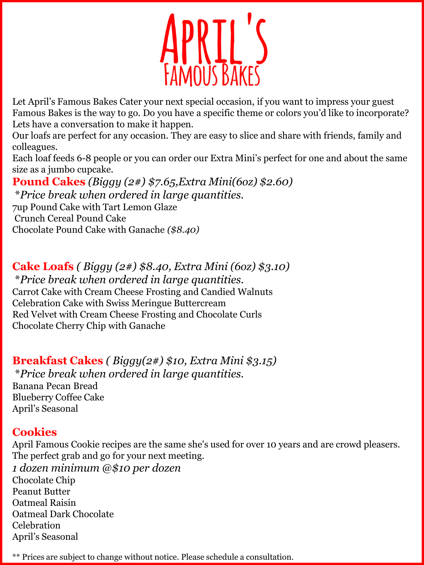

Let April's Famous Bakes Cater your next special occasion, if you want to impress your guest Famous Bakes is the way to go. Do you have a specific theme or colors you'd like to incorporate? Lets have a conversation to make it happen.

Our loafs are perfect for any occasion. They are easy to slice and share with friends, family and colleagues.

Each loaf feeds 6-8 people or you can order our Extra Mini's perfect for one and about the same size as a jumbo cupcake.

**Pound Cakes** *(Biggy (2#) \$7.65,Extra Mini(6oz) \$2.60)* \**Price break when ordered in large quantities.*  7up Pound Cake with Tart Lemon Glaze

Crunch Cereal Pound Cake

Chocolate Pound Cake with Ganache *(\$8.40)*

**Cake Loafs** *( Biggy (2#) \$8.40, Extra Mini (6oz) \$3.10)*

\**Price break when ordered in large quantities.*  Carrot Cake with Cream Cheese Frosting and Candied Walnuts Celebration Cake with Swiss Meringue Buttercream Red Velvet with Cream Cheese Frosting and Chocolate Curls Chocolate Cherry Chip with Ganache

**Breakfast Cakes** *( Biggy(2#) \$10, Extra Mini \$3.15)*

\**Price break when ordered in large quantities.* 

Banana Pecan Bread Blueberry Coffee Cake April's Seasonal

## **Cookies**

April Famous Cookie recipes are the same she's used for over 10 years and are crowd pleasers. The perfect grab and go for your next meeting. *1 dozen minimum @\$10 per dozen* Chocolate Chip Peanut Butter Oatmeal Raisin Oatmeal Dark Chocolate Celebration April's Seasonal

\*\* Prices are subject to change without notice. Please schedule a consultation.